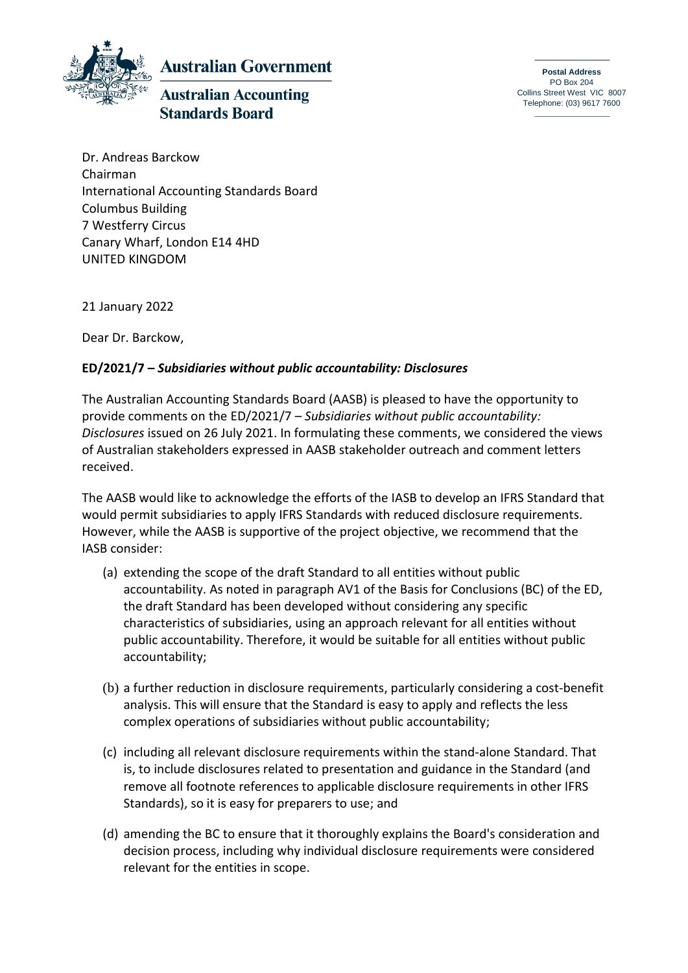

**Australian Government** 

# **Australian Accounting Standards Board**

**Postal Address** PO Box 204 Collins Street West VIC 8007 Telephone: (03) 9617 7600

Dr. Andreas Barckow Chairman International Accounting Standards Board Columbus Building 7 Westferry Circus Canary Wharf, London E14 4HD UNITED KINGDOM

21 January 2022

Dear Dr. Barckow,

# **ED/2021/7 –** *Subsidiaries without public accountability: Disclosures*

The Australian Accounting Standards Board (AASB) is pleased to have the opportunity to provide comments on the ED/2021/7 – *Subsidiaries without public accountability: Disclosures* issued on 26 July 2021. In formulating these comments, we considered the views of Australian stakeholders expressed in AASB stakeholder outreach and comment letters received.

The AASB would like to acknowledge the efforts of the IASB to develop an IFRS Standard that would permit subsidiaries to apply IFRS Standards with reduced disclosure requirements. However, while the AASB is supportive of the project objective, we recommend that the IASB consider:

- (a) extending the scope of the draft Standard to all entities without public accountability. As noted in paragraph AV1 of the Basis for Conclusions (BC) of the ED, the draft Standard has been developed without considering any specific characteristics of subsidiaries, using an approach relevant for all entities without public accountability. Therefore, it would be suitable for all entities without public accountability;
- (b) a further reduction in disclosure requirements, particularly considering a cost-benefit analysis. This will ensure that the Standard is easy to apply and reflects the less complex operations of subsidiaries without public accountability;
- (c) including all relevant disclosure requirements within the stand-alone Standard. That is, to include disclosures related to presentation and guidance in the Standard (and remove all footnote references to applicable disclosure requirements in other IFRS Standards), so it is easy for preparers to use; and
- (d) amending the BC to ensure that it thoroughly explains the Board's consideration and decision process, including why individual disclosure requirements were considered relevant for the entities in scope.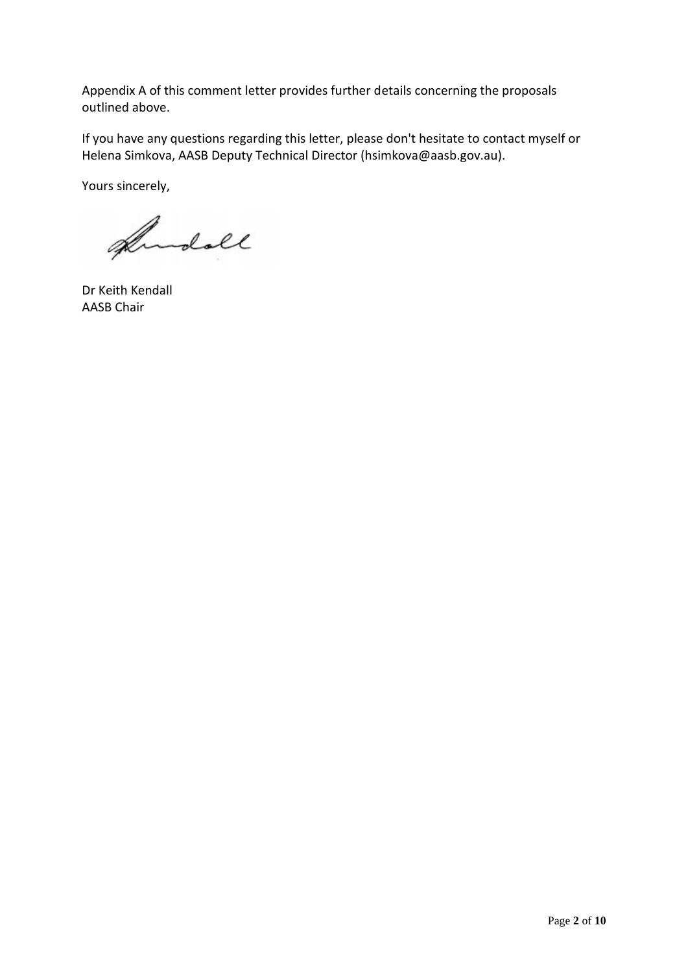Appendix A of this comment letter provides further details concerning the proposals outlined above.

If you have any questions regarding this letter, please don't hesitate to contact myself or Helena Simkova, AASB Deputy Technical Director (hsimkova@aasb.gov.au).

Yours sincerely,

Andoll

Dr Keith Kendall AASB Chair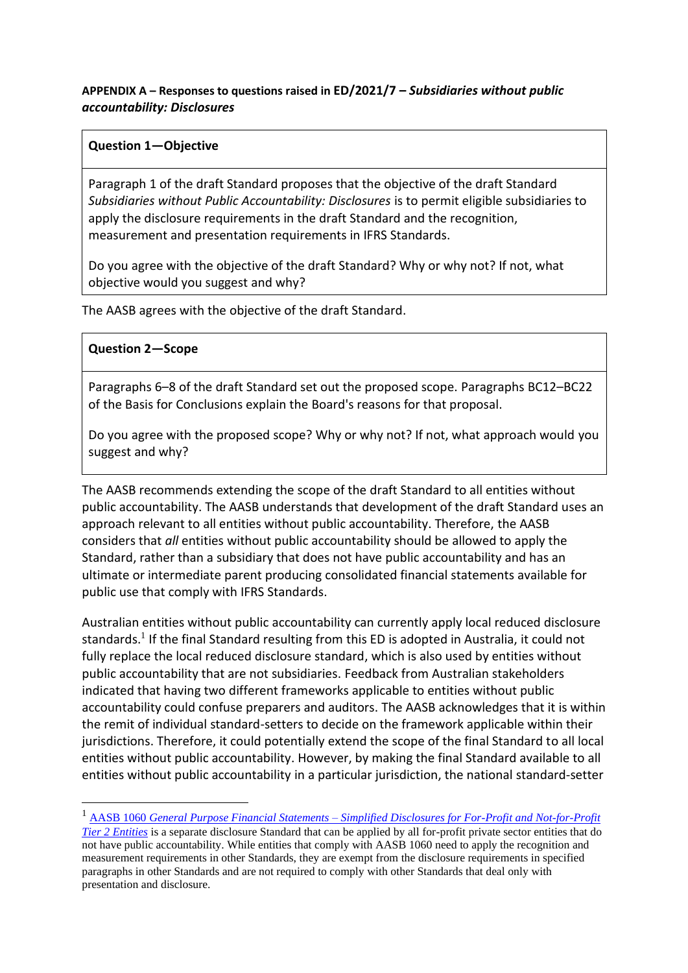#### **APPENDIX A – Responses to questions raised in ED/2021/7 –** *Subsidiaries without public accountability: Disclosures*

### **Question 1—Objective**

Paragraph 1 of the draft Standard proposes that the objective of the draft Standard *Subsidiaries without Public Accountability: Disclosures* is to permit eligible subsidiaries to apply the disclosure requirements in the draft Standard and the recognition, measurement and presentation requirements in IFRS Standards.

Do you agree with the objective of the draft Standard? Why or why not? If not, what objective would you suggest and why?

The AASB agrees with the objective of the draft Standard.

#### **Question 2—Scope**

Paragraphs 6–8 of the draft Standard set out the proposed scope. Paragraphs BC12–BC22 of the Basis for Conclusions explain the Board's reasons for that proposal.

Do you agree with the proposed scope? Why or why not? If not, what approach would you suggest and why?

The AASB recommends extending the scope of the draft Standard to all entities without public accountability. The AASB understands that development of the draft Standard uses an approach relevant to all entities without public accountability. Therefore, the AASB considers that *all* entities without public accountability should be allowed to apply the Standard, rather than a subsidiary that does not have public accountability and has an ultimate or intermediate parent producing consolidated financial statements available for public use that comply with IFRS Standards.

Australian entities without public accountability can currently apply local reduced disclosure standards.<sup>1</sup> If the final Standard resulting from this ED is adopted in Australia, it could not fully replace the local reduced disclosure standard, which is also used by entities without public accountability that are not subsidiaries. Feedback from Australian stakeholders indicated that having two different frameworks applicable to entities without public accountability could confuse preparers and auditors. The AASB acknowledges that it is within the remit of individual standard-setters to decide on the framework applicable within their jurisdictions. Therefore, it could potentially extend the scope of the final Standard to all local entities without public accountability. However, by making the final Standard available to all entities without public accountability in a particular jurisdiction, the national standard-setter

<sup>1</sup> AASB 1060 *General Purpose Financial Statements – [Simplified Disclosures for For-Profit and Not-for-Profit](https://www.aasb.gov.au/admin/file/content105/c9/AASB1060_03-20_COMPmar21_07-21.pdf)  [Tier 2 Entities](https://www.aasb.gov.au/admin/file/content105/c9/AASB1060_03-20_COMPmar21_07-21.pdf)* is a separate disclosure Standard that can be applied by all for-profit private sector entities that do not have public accountability. While entities that comply with AASB 1060 need to apply the recognition and measurement requirements in other Standards, they are exempt from the disclosure requirements in specified paragraphs in other Standards and are not required to comply with other Standards that deal only with presentation and disclosure.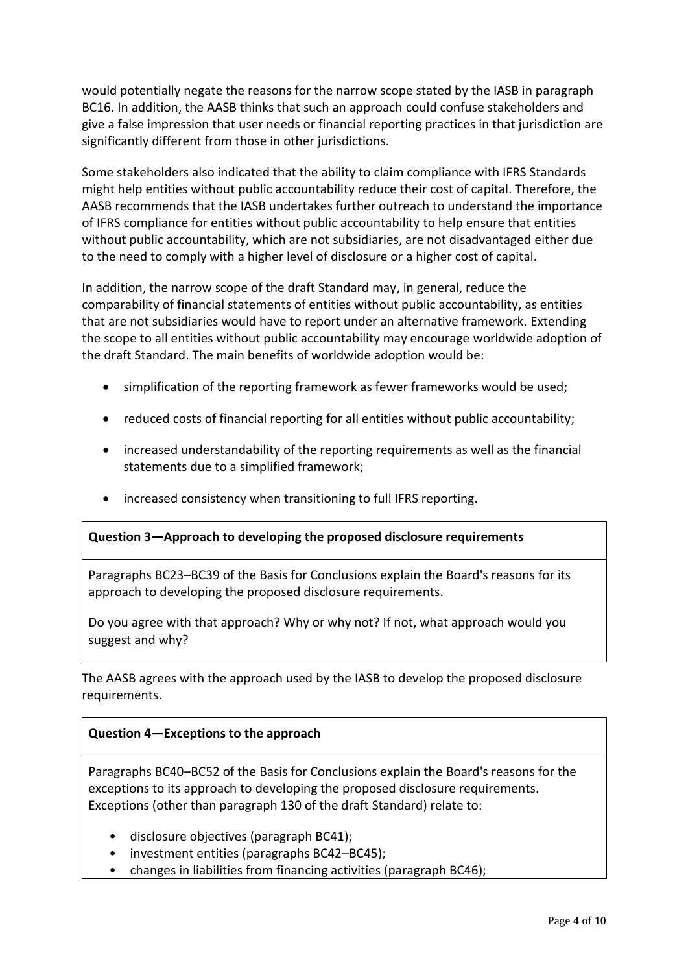would potentially negate the reasons for the narrow scope stated by the IASB in paragraph BC16. In addition, the AASB thinks that such an approach could confuse stakeholders and give a false impression that user needs or financial reporting practices in that jurisdiction are significantly different from those in other jurisdictions.

Some stakeholders also indicated that the ability to claim compliance with IFRS Standards might help entities without public accountability reduce their cost of capital. Therefore, the AASB recommends that the IASB undertakes further outreach to understand the importance of IFRS compliance for entities without public accountability to help ensure that entities without public accountability, which are not subsidiaries, are not disadvantaged either due to the need to comply with a higher level of disclosure or a higher cost of capital.

In addition, the narrow scope of the draft Standard may, in general, reduce the comparability of financial statements of entities without public accountability, as entities that are not subsidiaries would have to report under an alternative framework. Extending the scope to all entities without public accountability may encourage worldwide adoption of the draft Standard. The main benefits of worldwide adoption would be:

- simplification of the reporting framework as fewer frameworks would be used;
- reduced costs of financial reporting for all entities without public accountability;
- increased understandability of the reporting requirements as well as the financial statements due to a simplified framework;
- increased consistency when transitioning to full IFRS reporting.

#### **Question 3—Approach to developing the proposed disclosure requirements**

Paragraphs BC23–BC39 of the Basis for Conclusions explain the Board's reasons for its approach to developing the proposed disclosure requirements.

Do you agree with that approach? Why or why not? If not, what approach would you suggest and why?

The AASB agrees with the approach used by the IASB to develop the proposed disclosure requirements.

#### **Question 4—Exceptions to the approach**

Paragraphs BC40–BC52 of the Basis for Conclusions explain the Board's reasons for the exceptions to its approach to developing the proposed disclosure requirements. Exceptions (other than paragraph 130 of the draft Standard) relate to:

- disclosure objectives (paragraph BC41);
- investment entities (paragraphs BC42–BC45);
- changes in liabilities from financing activities (paragraph BC46);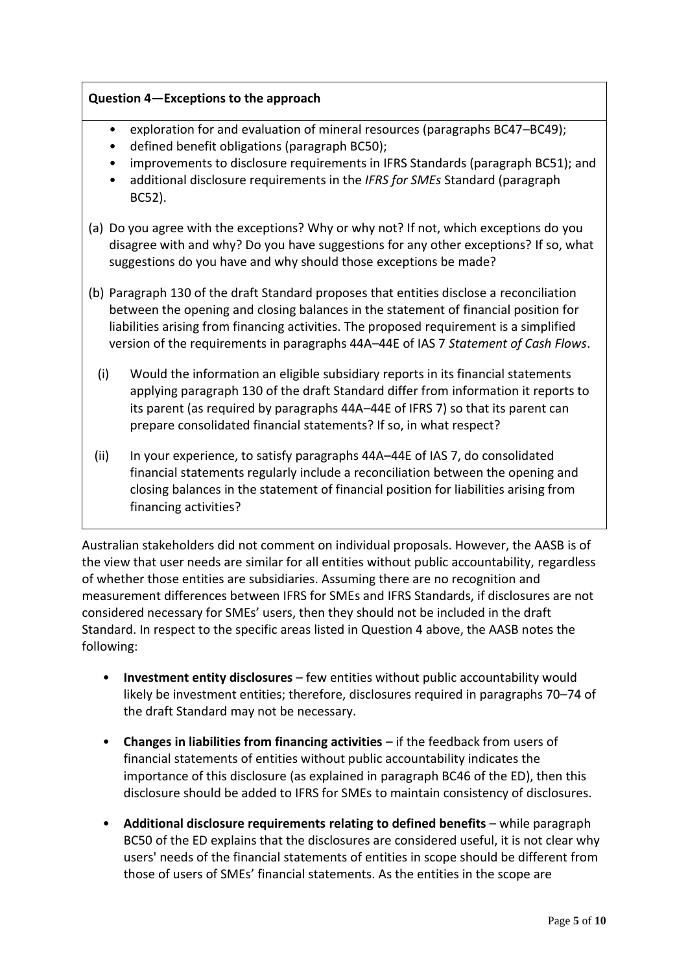# **Question 4—Exceptions to the approach**

- exploration for and evaluation of mineral resources (paragraphs BC47–BC49);
- defined benefit obligations (paragraph BC50);
- improvements to disclosure requirements in IFRS Standards (paragraph BC51); and
- additional disclosure requirements in the *IFRS for SMEs* Standard (paragraph BC52).
- (a) Do you agree with the exceptions? Why or why not? If not, which exceptions do you disagree with and why? Do you have suggestions for any other exceptions? If so, what suggestions do you have and why should those exceptions be made?
- (b) Paragraph 130 of the draft Standard proposes that entities disclose a reconciliation between the opening and closing balances in the statement of financial position for liabilities arising from financing activities. The proposed requirement is a simplified version of the requirements in paragraphs 44A–44E of IAS 7 *Statement of Cash Flows*.
	- (i) Would the information an eligible subsidiary reports in its financial statements applying paragraph 130 of the draft Standard differ from information it reports to its parent (as required by paragraphs 44A–44E of IFRS 7) so that its parent can prepare consolidated financial statements? If so, in what respect?
- (ii) In your experience, to satisfy paragraphs 44A–44E of IAS 7, do consolidated financial statements regularly include a reconciliation between the opening and closing balances in the statement of financial position for liabilities arising from financing activities?

Australian stakeholders did not comment on individual proposals. However, the AASB is of the view that user needs are similar for all entities without public accountability, regardless of whether those entities are subsidiaries. Assuming there are no recognition and measurement differences between IFRS for SMEs and IFRS Standards, if disclosures are not considered necessary for SMEs' users, then they should not be included in the draft Standard. In respect to the specific areas listed in Question 4 above, the AASB notes the following:

- **Investment entity disclosures** few entities without public accountability would likely be investment entities; therefore, disclosures required in paragraphs 70–74 of the draft Standard may not be necessary.
- **Changes in liabilities from financing activities** if the feedback from users of financial statements of entities without public accountability indicates the importance of this disclosure (as explained in paragraph BC46 of the ED), then this disclosure should be added to IFRS for SMEs to maintain consistency of disclosures.
- **Additional disclosure requirements relating to defined benefits** while paragraph BC50 of the ED explains that the disclosures are considered useful, it is not clear why users' needs of the financial statements of entities in scope should be different from those of users of SMEs' financial statements. As the entities in the scope are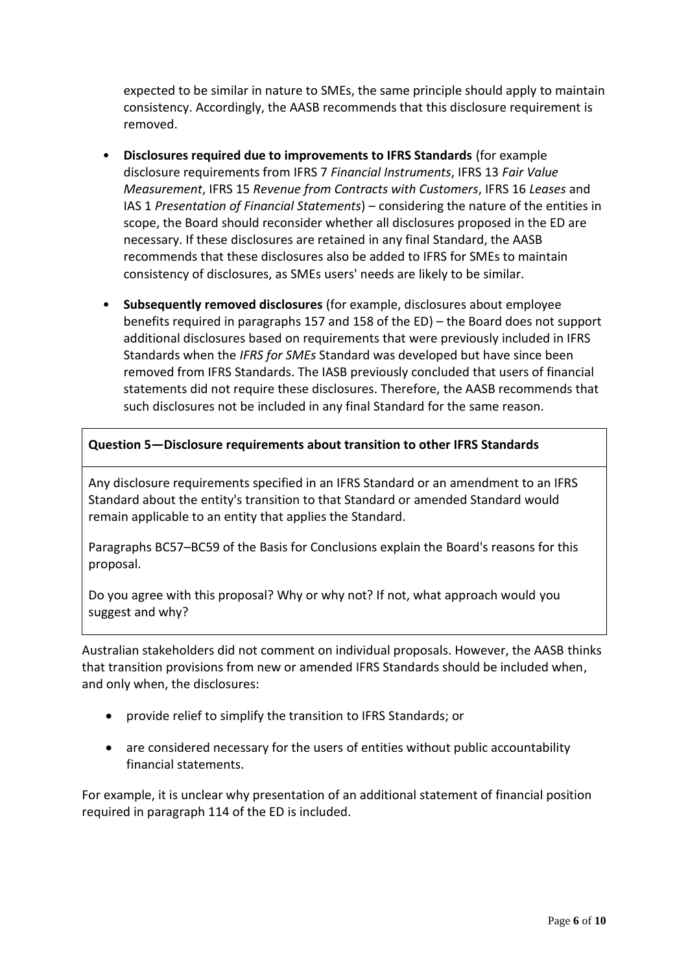expected to be similar in nature to SMEs, the same principle should apply to maintain consistency. Accordingly, the AASB recommends that this disclosure requirement is removed.

- **Disclosures required due to improvements to IFRS Standards** (for example disclosure requirements from IFRS 7 *Financial Instruments*, IFRS 13 *Fair Value Measurement*, IFRS 15 *Revenue from Contracts with Customers*, IFRS 16 *Leases* and IAS 1 *Presentation of Financial Statements*) – considering the nature of the entities in scope, the Board should reconsider whether all disclosures proposed in the ED are necessary. If these disclosures are retained in any final Standard, the AASB recommends that these disclosures also be added to IFRS for SMEs to maintain consistency of disclosures, as SMEs users' needs are likely to be similar.
- **Subsequently removed disclosures** (for example, disclosures about employee benefits required in paragraphs 157 and 158 of the ED) – the Board does not support additional disclosures based on requirements that were previously included in IFRS Standards when the *IFRS for SMEs* Standard was developed but have since been removed from IFRS Standards. The IASB previously concluded that users of financial statements did not require these disclosures. Therefore, the AASB recommends that such disclosures not be included in any final Standard for the same reason.

### **Question 5—Disclosure requirements about transition to other IFRS Standards**

Any disclosure requirements specified in an IFRS Standard or an amendment to an IFRS Standard about the entity's transition to that Standard or amended Standard would remain applicable to an entity that applies the Standard.

Paragraphs BC57–BC59 of the Basis for Conclusions explain the Board's reasons for this proposal.

Do you agree with this proposal? Why or why not? If not, what approach would you suggest and why?

Australian stakeholders did not comment on individual proposals. However, the AASB thinks that transition provisions from new or amended IFRS Standards should be included when, and only when, the disclosures:

- provide relief to simplify the transition to IFRS Standards; or
- are considered necessary for the users of entities without public accountability financial statements.

For example, it is unclear why presentation of an additional statement of financial position required in paragraph 114 of the ED is included.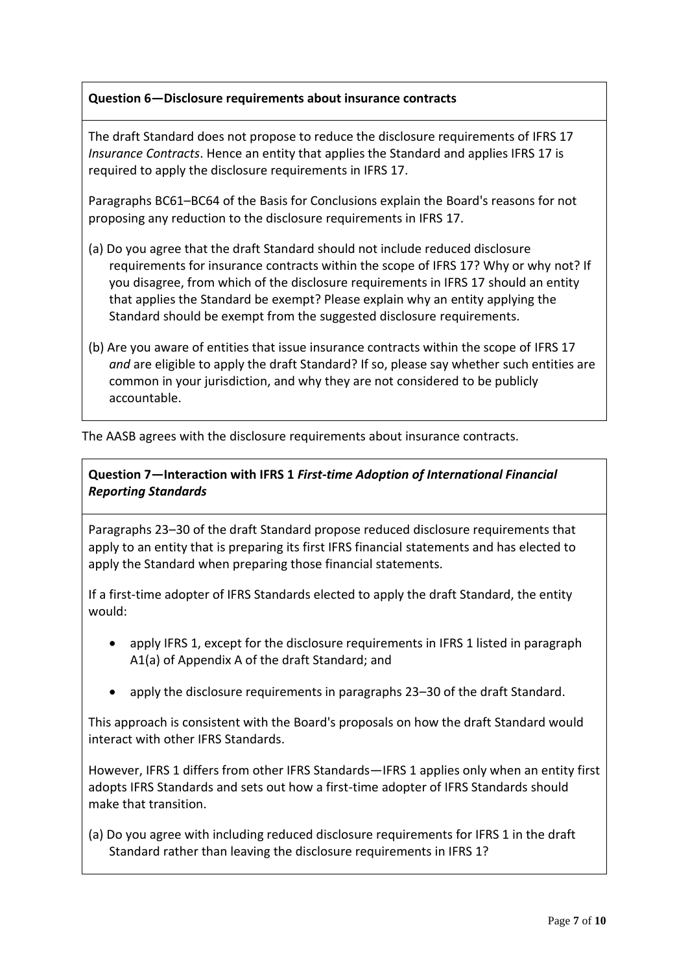# **Question 6—Disclosure requirements about insurance contracts**

The draft Standard does not propose to reduce the disclosure requirements of IFRS 17 *Insurance Contracts*. Hence an entity that applies the Standard and applies IFRS 17 is required to apply the disclosure requirements in IFRS 17.

Paragraphs BC61–BC64 of the Basis for Conclusions explain the Board's reasons for not proposing any reduction to the disclosure requirements in IFRS 17.

- (a) Do you agree that the draft Standard should not include reduced disclosure requirements for insurance contracts within the scope of IFRS 17? Why or why not? If you disagree, from which of the disclosure requirements in IFRS 17 should an entity that applies the Standard be exempt? Please explain why an entity applying the Standard should be exempt from the suggested disclosure requirements.
- (b) Are you aware of entities that issue insurance contracts within the scope of IFRS 17 *and* are eligible to apply the draft Standard? If so, please say whether such entities are common in your jurisdiction, and why they are not considered to be publicly accountable.

The AASB agrees with the disclosure requirements about insurance contracts.

# **Question 7—Interaction with IFRS 1** *First-time Adoption of International Financial Reporting Standards*

Paragraphs 23–30 of the draft Standard propose reduced disclosure requirements that apply to an entity that is preparing its first IFRS financial statements and has elected to apply the Standard when preparing those financial statements.

If a first-time adopter of IFRS Standards elected to apply the draft Standard, the entity would:

- apply IFRS 1, except for the disclosure requirements in IFRS 1 listed in paragraph A1(a) of Appendix A of the draft Standard; and
- apply the disclosure requirements in paragraphs 23–30 of the draft Standard.

This approach is consistent with the Board's proposals on how the draft Standard would interact with other IFRS Standards.

However, IFRS 1 differs from other IFRS Standards—IFRS 1 applies only when an entity first adopts IFRS Standards and sets out how a first-time adopter of IFRS Standards should make that transition.

(a) Do you agree with including reduced disclosure requirements for IFRS 1 in the draft Standard rather than leaving the disclosure requirements in IFRS 1?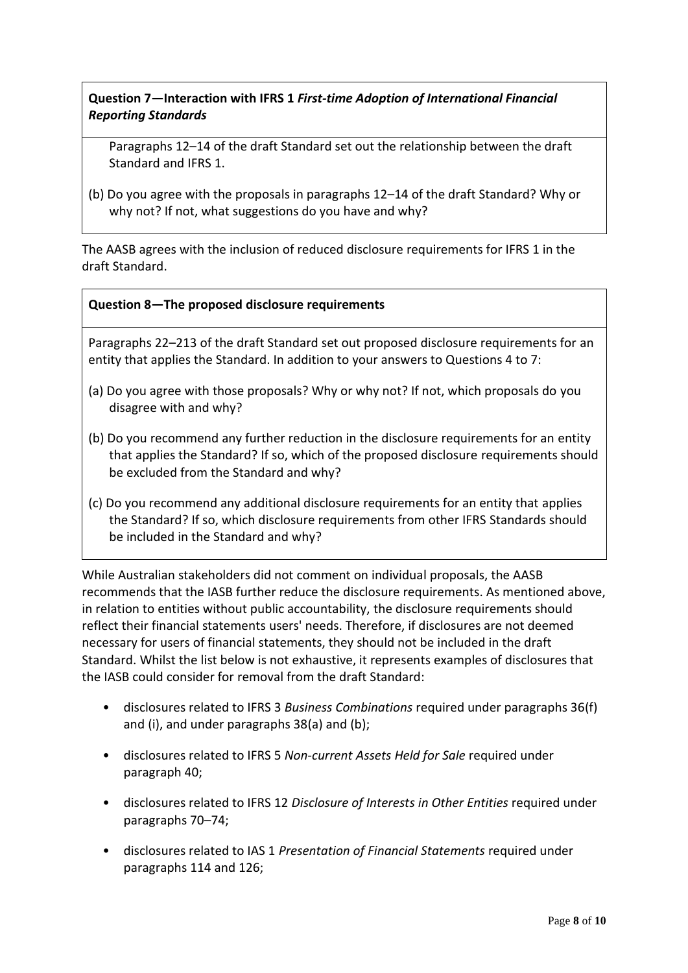**Question 7—Interaction with IFRS 1** *First-time Adoption of International Financial Reporting Standards*

Paragraphs 12–14 of the draft Standard set out the relationship between the draft Standard and IFRS 1.

(b) Do you agree with the proposals in paragraphs 12–14 of the draft Standard? Why or why not? If not, what suggestions do you have and why?

The AASB agrees with the inclusion of reduced disclosure requirements for IFRS 1 in the draft Standard.

### **Question 8—The proposed disclosure requirements**

Paragraphs 22–213 of the draft Standard set out proposed disclosure requirements for an entity that applies the Standard. In addition to your answers to Questions 4 to 7:

- (a) Do you agree with those proposals? Why or why not? If not, which proposals do you disagree with and why?
- (b) Do you recommend any further reduction in the disclosure requirements for an entity that applies the Standard? If so, which of the proposed disclosure requirements should be excluded from the Standard and why?
- (c) Do you recommend any additional disclosure requirements for an entity that applies the Standard? If so, which disclosure requirements from other IFRS Standards should be included in the Standard and why?

While Australian stakeholders did not comment on individual proposals, the AASB recommends that the IASB further reduce the disclosure requirements. As mentioned above, in relation to entities without public accountability, the disclosure requirements should reflect their financial statements users' needs. Therefore, if disclosures are not deemed necessary for users of financial statements, they should not be included in the draft Standard. Whilst the list below is not exhaustive, it represents examples of disclosures that the IASB could consider for removal from the draft Standard:

- disclosures related to IFRS 3 *Business Combinations* required under paragraphs 36(f) and (i), and under paragraphs 38(a) and (b);
- disclosures related to IFRS 5 *Non-current Assets Held for Sale* required under paragraph 40;
- disclosures related to IFRS 12 *Disclosure of Interests in Other Entities* required under paragraphs 70–74;
- disclosures related to IAS 1 *Presentation of Financial Statements* required under paragraphs 114 and 126;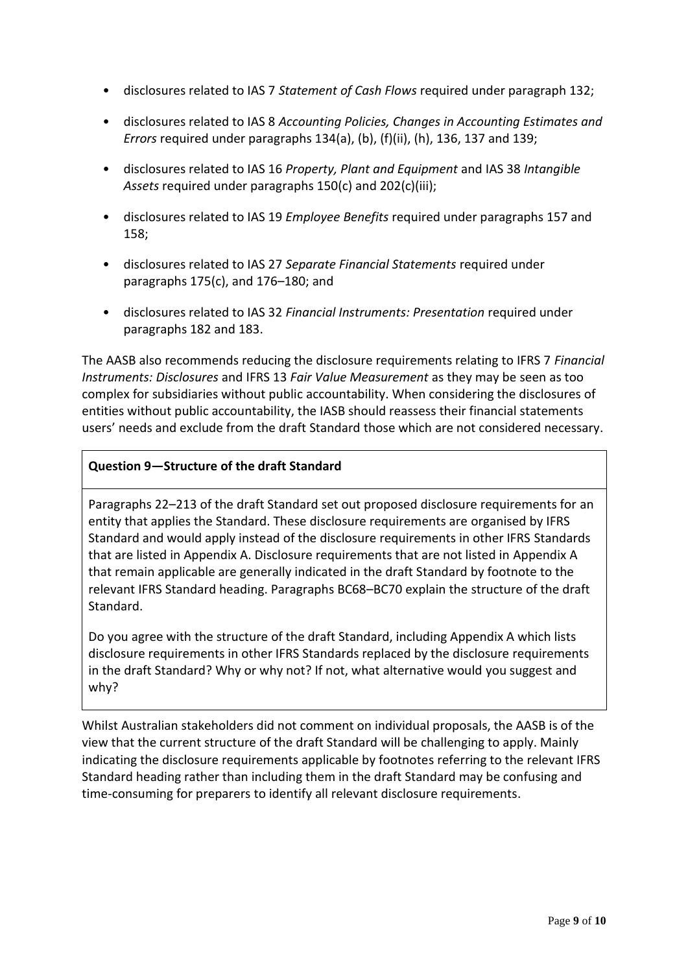- disclosures related to IAS 7 *Statement of Cash Flows* required under paragraph 132;
- disclosures related to IAS 8 *Accounting Policies, Changes in Accounting Estimates and Errors* required under paragraphs 134(a), (b), (f)(ii), (h), 136, 137 and 139;
- disclosures related to IAS 16 *Property, Plant and Equipment* and IAS 38 *Intangible Assets* required under paragraphs 150(c) and 202(c)(iii);
- disclosures related to IAS 19 *Employee Benefits* required under paragraphs 157 and 158;
- disclosures related to IAS 27 *Separate Financial Statements* required under paragraphs 175(c), and 176–180; and
- disclosures related to IAS 32 *Financial Instruments: Presentation* required under paragraphs 182 and 183.

The AASB also recommends reducing the disclosure requirements relating to IFRS 7 *Financial Instruments: Disclosures* and IFRS 13 *Fair Value Measurement* as they may be seen as too complex for subsidiaries without public accountability. When considering the disclosures of entities without public accountability, the IASB should reassess their financial statements users' needs and exclude from the draft Standard those which are not considered necessary.

### **Question 9—Structure of the draft Standard**

Paragraphs 22–213 of the draft Standard set out proposed disclosure requirements for an entity that applies the Standard. These disclosure requirements are organised by IFRS Standard and would apply instead of the disclosure requirements in other IFRS Standards that are listed in Appendix A. Disclosure requirements that are not listed in Appendix A that remain applicable are generally indicated in the draft Standard by footnote to the relevant IFRS Standard heading. Paragraphs BC68–BC70 explain the structure of the draft Standard.

Do you agree with the structure of the draft Standard, including Appendix A which lists disclosure requirements in other IFRS Standards replaced by the disclosure requirements in the draft Standard? Why or why not? If not, what alternative would you suggest and why?

Whilst Australian stakeholders did not comment on individual proposals, the AASB is of the view that the current structure of the draft Standard will be challenging to apply. Mainly indicating the disclosure requirements applicable by footnotes referring to the relevant IFRS Standard heading rather than including them in the draft Standard may be confusing and time-consuming for preparers to identify all relevant disclosure requirements.